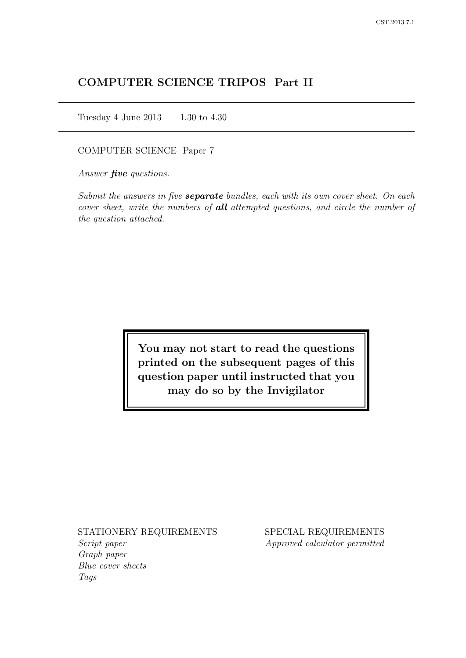# COMPUTER SCIENCE TRIPOS Part II

Tuesday 4 June 2013 1.30 to 4.30

COMPUTER SCIENCE Paper 7

Answer *five* questions.

Submit the answers in five **separate** bundles, each with its own cover sheet. On each cover sheet, write the numbers of **all** attempted questions, and circle the number of the question attached.

> You may not start to read the questions printed on the subsequent pages of this question paper until instructed that you may do so by the Invigilator

STATIONERY REQUIREMENTS

Script paper Graph paper Blue cover sheets Tags

SPECIAL REQUIREMENTS Approved calculator permitted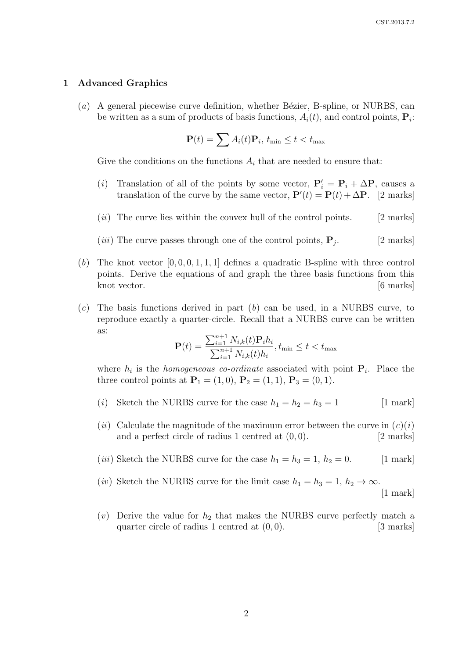#### 1 Advanced Graphics

(a) A general piecewise curve definition, whether Bézier, B-spline, or NURBS, can be written as a sum of products of basis functions,  $A_i(t)$ , and control points,  $\mathbf{P}_i$ :

$$
\mathbf{P}(t) = \sum A_i(t)\mathbf{P}_i, t_{\min} \le t < t_{\max}
$$

Give the conditions on the functions  $A_i$  that are needed to ensure that:

- (i) Translation of all of the points by some vector,  $P'_i = P_i + \Delta P$ , causes a translation of the curve by the same vector,  $\mathbf{P}'(t) = \mathbf{P}(t) + \Delta \mathbf{P}$ . [2 marks]
- $(ii)$  The curve lies within the convex hull of the control points. [2 marks]
- (*iii*) The curve passes through one of the control points,  $P_i$ . . [2 marks]
- (b) The knot vector  $[0, 0, 0, 1, 1, 1]$  defines a quadratic B-spline with three control points. Derive the equations of and graph the three basis functions from this knot vector. [6 marks]
- $(c)$  The basis functions derived in part  $(b)$  can be used, in a NURBS curve, to reproduce exactly a quarter-circle. Recall that a NURBS curve can be written as:

$$
\mathbf{P}(t) = \frac{\sum_{i=1}^{n+1} N_{i,k}(t)\mathbf{P}_i h_i}{\sum_{i=1}^{n+1} N_{i,k}(t)h_i}, t_{\min} \le t < t_{\max}
$$

where  $h_i$  is the *homogeneous co-ordinate* associated with point  $P_i$ . Place the three control points at  $P_1 = (1, 0), P_2 = (1, 1), P_3 = (0, 1).$ 

- (*i*) Sketch the NURBS curve for the case  $h_1 = h_2 = h_3 = 1$  [1 mark]
- (ii) Calculate the magnitude of the maximum error between the curve in  $(c)(i)$ and a perfect circle of radius 1 centred at  $(0, 0)$ . [2 marks]
- (*iii*) Sketch the NURBS curve for the case  $h_1 = h_3 = 1, h_2 = 0.$  [1 mark]
- (*iv*) Sketch the NURBS curve for the limit case  $h_1 = h_3 = 1, h_2 \to \infty$ . [1 mark]
- (v) Derive the value for  $h_2$  that makes the NURBS curve perfectly match a quarter circle of radius 1 centred at  $(0, 0)$ . [3 marks]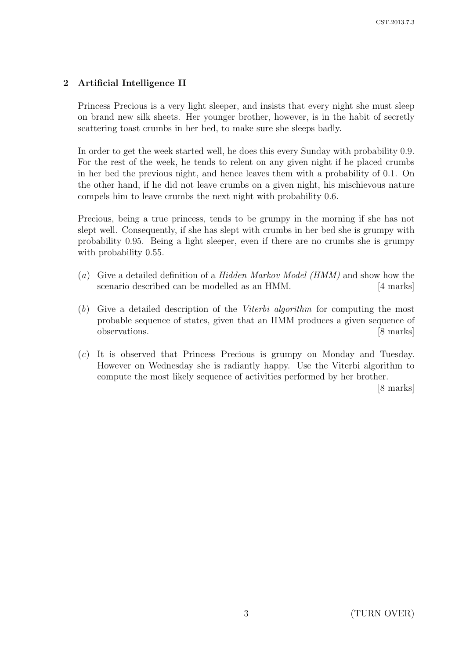## 2 Artificial Intelligence II

Princess Precious is a very light sleeper, and insists that every night she must sleep on brand new silk sheets. Her younger brother, however, is in the habit of secretly scattering toast crumbs in her bed, to make sure she sleeps badly.

In order to get the week started well, he does this every Sunday with probability 0.9. For the rest of the week, he tends to relent on any given night if he placed crumbs in her bed the previous night, and hence leaves them with a probability of 0.1. On the other hand, if he did not leave crumbs on a given night, his mischievous nature compels him to leave crumbs the next night with probability 0.6.

Precious, being a true princess, tends to be grumpy in the morning if she has not slept well. Consequently, if she has slept with crumbs in her bed she is grumpy with probability 0.95. Being a light sleeper, even if there are no crumbs she is grumpy with probability  $0.55$ .

- (a) Give a detailed definition of a *Hidden Markov Model (HMM)* and show how the scenario described can be modelled as an HMM. [4 marks]
- (b) Give a detailed description of the Viterbi algorithm for computing the most probable sequence of states, given that an HMM produces a given sequence of observations. [8 marks]
- (c) It is observed that Princess Precious is grumpy on Monday and Tuesday. However on Wednesday she is radiantly happy. Use the Viterbi algorithm to compute the most likely sequence of activities performed by her brother.

[8 marks]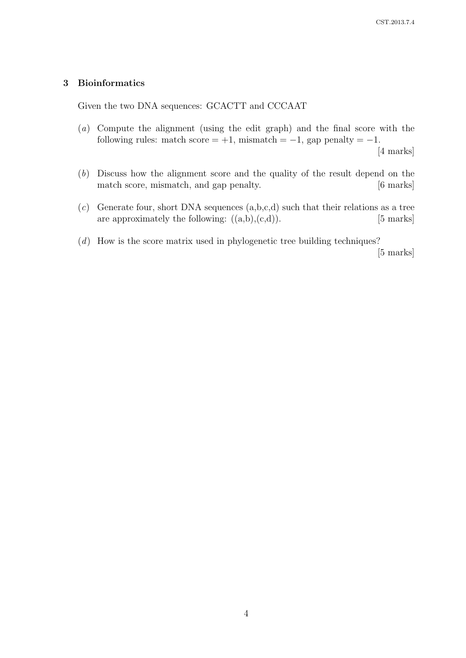### 3 Bioinformatics

Given the two DNA sequences: GCACTT and CCCAAT

- (a) Compute the alignment (using the edit graph) and the final score with the following rules: match score =  $+1$ , mismatch =  $-1$ , gap penalty =  $-1$ . [4 marks]
- (b) Discuss how the alignment score and the quality of the result depend on the match score, mismatch, and gap penalty. [6 marks]
- $(c)$  Generate four, short DNA sequences  $(a,b,c,d)$  such that their relations as a tree are approximately the following:  $((a,b),(c,d))$ . [5 marks]
- (d) How is the score matrix used in phylogenetic tree building techniques?

[5 marks]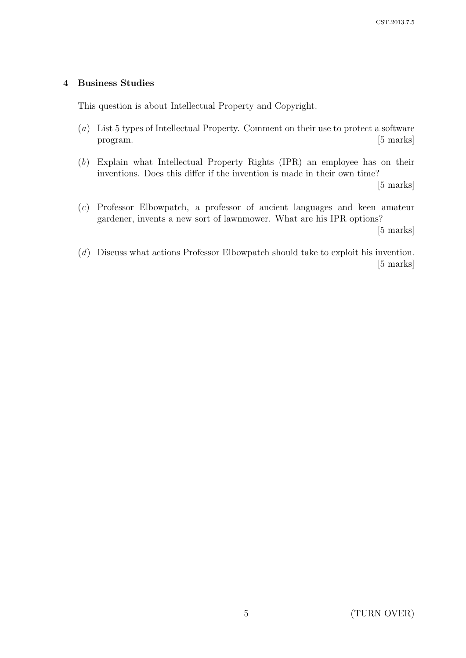## 4 Business Studies

This question is about Intellectual Property and Copyright.

- (a) List 5 types of Intellectual Property. Comment on their use to protect a software program. [5 marks]
- (b) Explain what Intellectual Property Rights (IPR) an employee has on their inventions. Does this differ if the invention is made in their own time?

[5 marks]

(c) Professor Elbowpatch, a professor of ancient languages and keen amateur gardener, invents a new sort of lawnmower. What are his IPR options?

[5 marks]

(d) Discuss what actions Professor Elbowpatch should take to exploit his invention. [5 marks]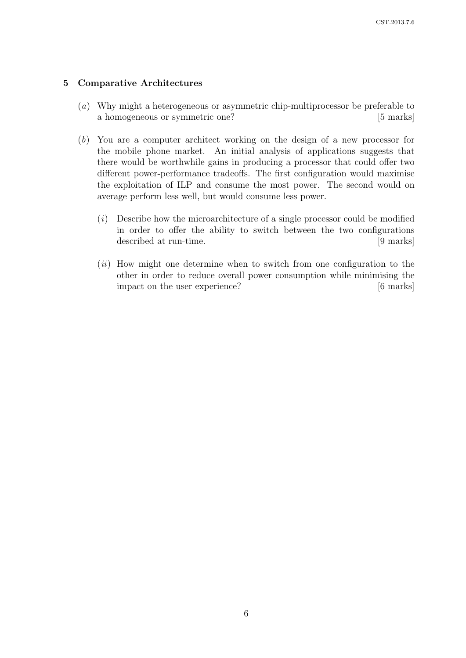#### 5 Comparative Architectures

- (a) Why might a heterogeneous or asymmetric chip-multiprocessor be preferable to a homogeneous or symmetric one? [5 marks]
- (b) You are a computer architect working on the design of a new processor for the mobile phone market. An initial analysis of applications suggests that there would be worthwhile gains in producing a processor that could offer two different power-performance tradeoffs. The first configuration would maximise the exploitation of ILP and consume the most power. The second would on average perform less well, but would consume less power.
	- (i) Describe how the microarchitecture of a single processor could be modified in order to offer the ability to switch between the two configurations described at run-time. [9 marks]
	- $(ii)$  How might one determine when to switch from one configuration to the other in order to reduce overall power consumption while minimising the impact on the user experience? [6 marks]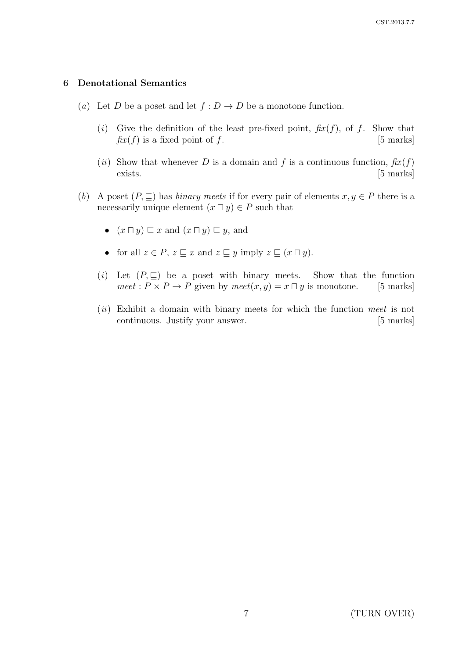#### 6 Denotational Semantics

- (a) Let D be a poset and let  $f: D \to D$  be a monotone function.
	- (i) Give the definition of the least pre-fixed point,  $\hat{f}$ x $(f)$ , of f. Show that  $f(x(f))$  is a fixed point of f. [5 marks]
	- (ii) Show that whenever D is a domain and f is a continuous function,  $fix(f)$ exists. [5 marks]
- (b) A poset  $(P, \subseteq)$  has *binary meets* if for every pair of elements  $x, y \in P$  there is a necessarily unique element  $(x \sqcap y) \in P$  such that
	- $(x \sqcap y) \sqsubseteq x$  and  $(x \sqcap y) \sqsubseteq y$ , and
	- for all  $z \in P$ ,  $z \sqsubseteq x$  and  $z \sqsubseteq y$  imply  $z \sqsubseteq (x \sqcap y)$ .
	- (i) Let  $(P, \subseteq)$  be a poset with binary meets. Show that the function meet :  $P \times P \rightarrow P$  given by  $meet(x, y) = x \sqcap y$  is monotone. [5 marks]
	- $(ii)$  Exhibit a domain with binary meets for which the function meet is not continuous. Justify your answer. [5 marks]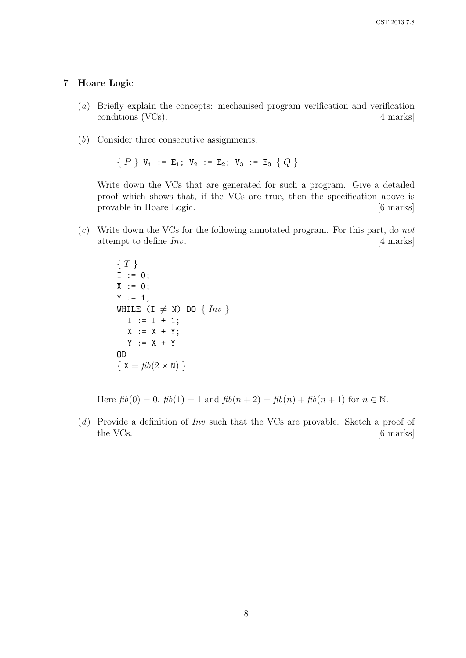#### 7 Hoare Logic

- (a) Briefly explain the concepts: mechanised program verification and verification conditions (VCs). [4 marks]
- (b) Consider three consecutive assignments:

 ${P}$  V<sub>1</sub> := E<sub>1</sub>; V<sub>2</sub> := E<sub>2</sub>; V<sub>3</sub> := E<sub>3</sub> { Q }

Write down the VCs that are generated for such a program. Give a detailed proof which shows that, if the VCs are true, then the specification above is provable in Hoare Logic. [6 marks]

(c) Write down the VCs for the following annotated program. For this part, do not attempt to define  $Inv$ . [4 marks]

> $\{T\}$  $I := 0;$  $X := 0;$  $Y := 1;$ WHILE  $(I \neq N)$  DO  $\{Inv\}$  $I := I + 1;$  $X := X + Y;$  $Y := X + Y$ OD  $\{ X = fib(2 \times N) \}$

Here  $fib(0) = 0$ ,  $fib(1) = 1$  and  $fib(n + 2) = fib(n) + fib(n + 1)$  for  $n \in \mathbb{N}$ .

(d) Provide a definition of Inv such that the VCs are provable. Sketch a proof of the VCs. [6 marks]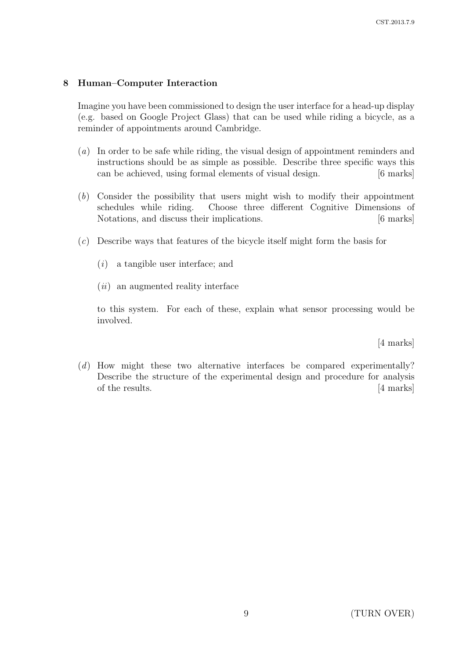## 8 Human–Computer Interaction

Imagine you have been commissioned to design the user interface for a head-up display (e.g. based on Google Project Glass) that can be used while riding a bicycle, as a reminder of appointments around Cambridge.

- (a) In order to be safe while riding, the visual design of appointment reminders and instructions should be as simple as possible. Describe three specific ways this can be achieved, using formal elements of visual design. [6 marks]
- (b) Consider the possibility that users might wish to modify their appointment schedules while riding. Choose three different Cognitive Dimensions of Notations, and discuss their implications. The same state of the state of the state of the state of the state of the state of the state of the state of the state of the state of the state of the state of the state of the s
- (c) Describe ways that features of the bicycle itself might form the basis for
	- (i) a tangible user interface; and
	- $(ii)$  an augmented reality interface

to this system. For each of these, explain what sensor processing would be involved.

[4 marks]

(d) How might these two alternative interfaces be compared experimentally? Describe the structure of the experimental design and procedure for analysis of the results. [4 marks]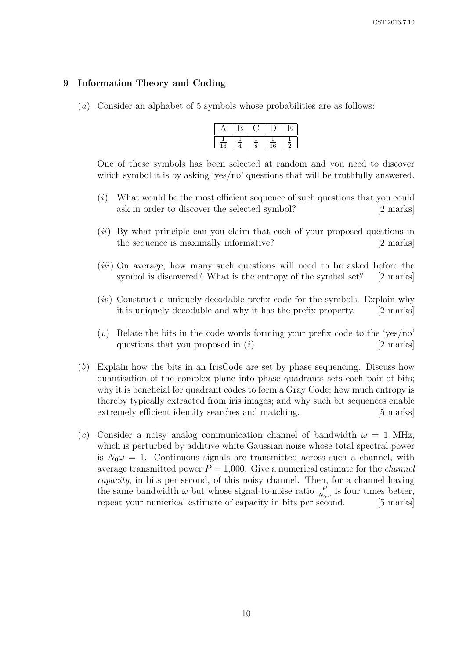### 9 Information Theory and Coding

(a) Consider an alphabet of 5 symbols whose probabilities are as follows:

One of these symbols has been selected at random and you need to discover which symbol it is by asking 'yes/no' questions that will be truthfully answered.

- (i) What would be the most efficient sequence of such questions that you could ask in order to discover the selected symbol? [2 marks]
- $(ii)$  By what principle can you claim that each of your proposed questions in the sequence is maximally informative? [2 marks]
- (*iii*) On average, how many such questions will need to be asked before the symbol is discovered? What is the entropy of the symbol set? [2 marks]
- (iv) Construct a uniquely decodable prefix code for the symbols. Explain why it is uniquely decodable and why it has the prefix property. [2 marks]
- $(v)$  Relate the bits in the code words forming your prefix code to the 'yes/no' questions that you proposed in  $(i)$ . [2 marks]
- (b) Explain how the bits in an IrisCode are set by phase sequencing. Discuss how quantisation of the complex plane into phase quadrants sets each pair of bits; why it is beneficial for quadrant codes to form a Gray Code; how much entropy is thereby typically extracted from iris images; and why such bit sequences enable extremely efficient identity searches and matching. [5 marks]
- (c) Consider a noisy analog communication channel of bandwidth  $\omega = 1$  MHz, which is perturbed by additive white Gaussian noise whose total spectral power is  $N_0 \omega = 1$ . Continuous signals are transmitted across such a channel, with average transmitted power  $P = 1,000$ . Give a numerical estimate for the *channel* capacity, in bits per second, of this noisy channel. Then, for a channel having the same bandwidth  $\omega$  but whose signal-to-noise ratio  $\frac{P}{N_0\omega}$  is four times better, repeat your numerical estimate of capacity in bits per second. [5 marks]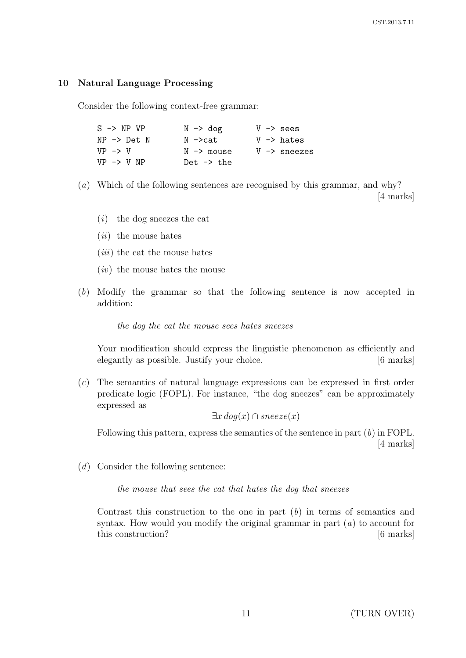### 10 Natural Language Processing

Consider the following context-free grammar:

| $N \rightarrow$ dog    | $V \rightarrow$ sees    |
|------------------------|-------------------------|
| N −>cat                | $V \rightarrow$ hates   |
| $N \rightarrow$ mouse  | $V \rightarrow$ sneezes |
| Det. $\rightarrow$ the |                         |
|                        |                         |

- (a) Which of the following sentences are recognised by this grammar, and why? [4 marks]
	- $(i)$  the dog sneezes the cat
	- $(ii)$  the mouse hates
	- $(iii)$  the cat the mouse hates
	- $(iv)$  the mouse hates the mouse
- (b) Modify the grammar so that the following sentence is now accepted in addition:

the dog the cat the mouse sees hates sneezes

Your modification should express the linguistic phenomenon as efficiently and elegantly as possible. Justify your choice. [6 marks]

(c) The semantics of natural language expressions can be expressed in first order predicate logic (FOPL). For instance, "the dog sneezes" can be approximately expressed as

 $\exists x \, dog(x) \cap \, \textit{sneeze}(x)$ 

Following this pattern, express the semantics of the sentence in part  $(b)$  in FOPL. [4 marks]

 $(d)$  Consider the following sentence:

the mouse that sees the cat that hates the dog that sneezes

Contrast this construction to the one in part  $(b)$  in terms of semantics and syntax. How would you modify the original grammar in part  $(a)$  to account for this construction? [6 marks]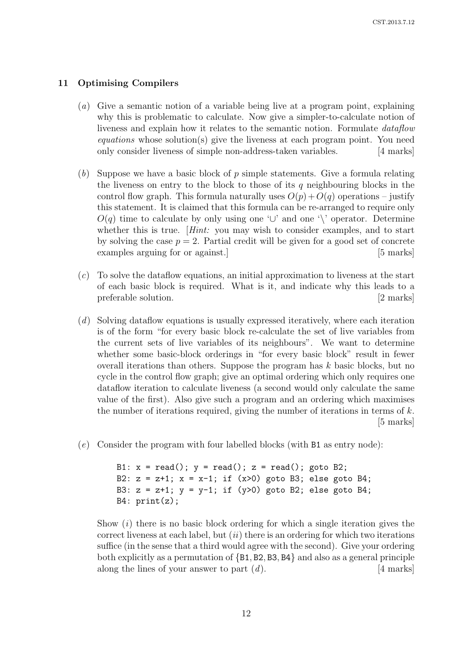### 11 Optimising Compilers

- (a) Give a semantic notion of a variable being live at a program point, explaining why this is problematic to calculate. Now give a simpler-to-calculate notion of liveness and explain how it relates to the semantic notion. Formulate dataflow  $equations$  whose solution(s) give the liveness at each program point. You need only consider liveness of simple non-address-taken variables. [4 marks]
- (b) Suppose we have a basic block of  $p$  simple statements. Give a formula relating the liveness on entry to the block to those of its  $q$  neighbouring blocks in the control flow graph. This formula naturally uses  $O(p) + O(q)$  operations – justify this statement. It is claimed that this formula can be re-arranged to require only  $O(q)$  time to calculate by only using one ' $\cup$ ' and one '\' operator. Determine whether this is true. *Hint:* you may wish to consider examples, and to start by solving the case  $p = 2$ . Partial credit will be given for a good set of concrete examples arguing for or against.] [5 marks]
- (c) To solve the dataflow equations, an initial approximation to liveness at the start of each basic block is required. What is it, and indicate why this leads to a preferable solution. [2 marks]
- (d) Solving dataflow equations is usually expressed iteratively, where each iteration is of the form "for every basic block re-calculate the set of live variables from the current sets of live variables of its neighbours". We want to determine whether some basic-block orderings in "for every basic block" result in fewer overall iterations than others. Suppose the program has  $k$  basic blocks, but no cycle in the control flow graph; give an optimal ordering which only requires one dataflow iteration to calculate liveness (a second would only calculate the same value of the first). Also give such a program and an ordering which maximises the number of iterations required, giving the number of iterations in terms of  $k$ . [5 marks]
- (e) Consider the program with four labelled blocks (with B1 as entry node):

```
B1: x = read(); y = read(); z = read(); goto B2;
B2: z = z+1; x = x-1; if (x>0) goto B3; else goto B4;
B3: z = z+1; y = y-1; if (y>0) goto B2; else goto B4;
B4: print(z);
```
Show  $(i)$  there is no basic block ordering for which a single iteration gives the correct liveness at each label, but  $(ii)$  there is an ordering for which two iterations suffice (in the sense that a third would agree with the second). Give your ordering both explicitly as a permutation of {B1, B2, B3, B4} and also as a general principle along the lines of your answer to part  $(d)$ . [4 marks]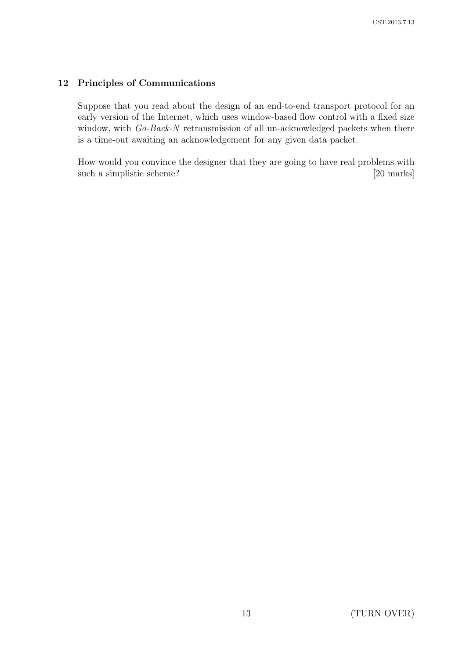## 12 Principles of Communications

Suppose that you read about the design of an end-to-end transport protocol for an early version of the Internet, which uses window-based flow control with a fixed size window, with Go-Back-N retransmission of all un-acknowledged packets when there is a time-out awaiting an acknowledgement for any given data packet.

How would you convince the designer that they are going to have real problems with such a simplistic scheme? [20 marks]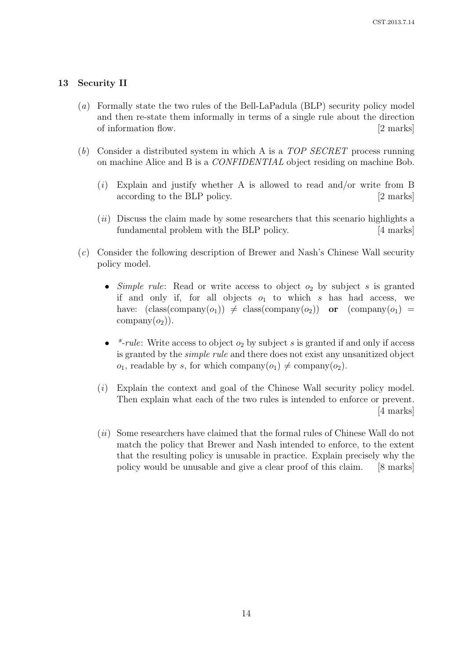### 13 Security II

- (a) Formally state the two rules of the Bell-LaPadula (BLP) security policy model and then re-state them informally in terms of a single rule about the direction of information flow. [2 marks]
- (b) Consider a distributed system in which A is a  $TOP$  SECRET process running on machine Alice and B is a CONFIDENTIAL object residing on machine Bob.
	- (i) Explain and justify whether A is allowed to read and/or write from B according to the BLP policy. [2 marks]
	- $(ii)$  Discuss the claim made by some researchers that this scenario highlights a fundamental problem with the BLP policy. [4 marks]
- (c) Consider the following description of Brewer and Nash's Chinese Wall security policy model.
	- Simple rule: Read or write access to object  $o_2$  by subject s is granted if and only if, for all objects  $o_1$  to which s has had access, we have:  $(\text{class}(company(o_1)) \neq \text{class}(company(o_2))$  or  $(\text{company}(o_1))$  = company $(o_2)$ ).
	- \*-rule: Write access to object  $o_2$  by subject s is granted if and only if access is granted by the simple rule and there does not exist any unsanitized object  $o_1$ , readable by s, for which company $(o_1) \neq \text{company}(o_2)$ .
	- (i) Explain the context and goal of the Chinese Wall security policy model. Then explain what each of the two rules is intended to enforce or prevent. [4 marks]
	- (ii) Some researchers have claimed that the formal rules of Chinese Wall do not match the policy that Brewer and Nash intended to enforce, to the extent that the resulting policy is unusable in practice. Explain precisely why the policy would be unusable and give a clear proof of this claim. [8 marks]